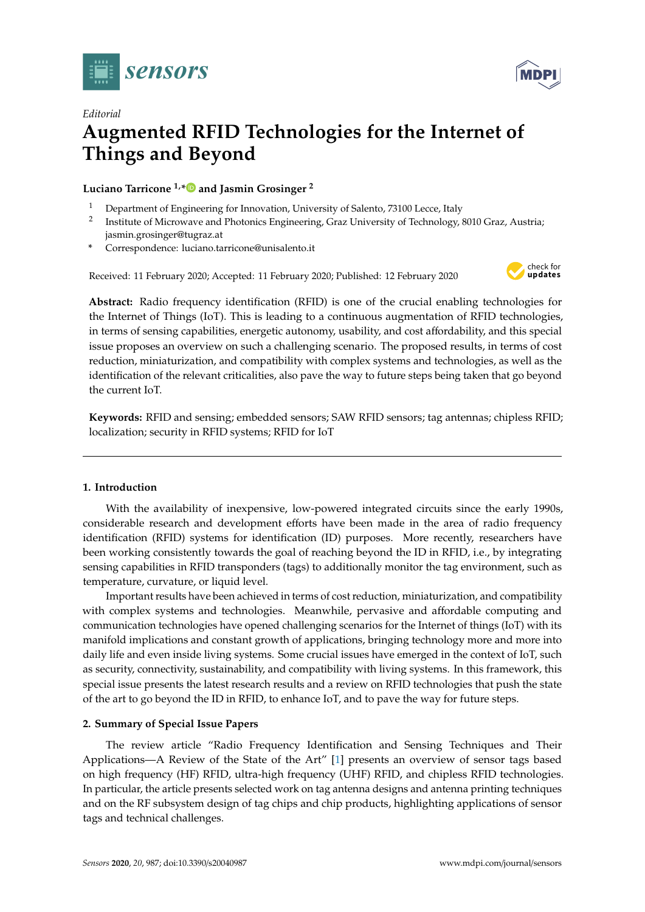



# *Editorial* **Augmented RFID Technologies for the Internet of Things and Beyond**

## **Luciano Tarricone 1,[\\*](https://orcid.org/0000-0003-4154-1148) and Jasmin Grosinger <sup>2</sup>**

- <sup>1</sup> Department of Engineering for Innovation, University of Salento, 73100 Lecce, Italy
- 2 Institute of Microwave and Photonics Engineering, Graz University of Technology, 8010 Graz, Austria; jasmin.grosinger@tugraz.at
- **\*** Correspondence: luciano.tarricone@unisalento.it

Received: 11 February 2020; Accepted: 11 February 2020; Published: 12 February 2020



**Abstract:** Radio frequency identification (RFID) is one of the crucial enabling technologies for the Internet of Things (IoT). This is leading to a continuous augmentation of RFID technologies, in terms of sensing capabilities, energetic autonomy, usability, and cost affordability, and this special issue proposes an overview on such a challenging scenario. The proposed results, in terms of cost reduction, miniaturization, and compatibility with complex systems and technologies, as well as the identification of the relevant criticalities, also pave the way to future steps being taken that go beyond the current IoT.

**Keywords:** RFID and sensing; embedded sensors; SAW RFID sensors; tag antennas; chipless RFID; localization; security in RFID systems; RFID for IoT

### **1. Introduction**

With the availability of inexpensive, low-powered integrated circuits since the early 1990s, considerable research and development efforts have been made in the area of radio frequency identification (RFID) systems for identification (ID) purposes. More recently, researchers have been working consistently towards the goal of reaching beyond the ID in RFID, i.e., by integrating sensing capabilities in RFID transponders (tags) to additionally monitor the tag environment, such as temperature, curvature, or liquid level.

Important results have been achieved in terms of cost reduction, miniaturization, and compatibility with complex systems and technologies. Meanwhile, pervasive and affordable computing and communication technologies have opened challenging scenarios for the Internet of things (IoT) with its manifold implications and constant growth of applications, bringing technology more and more into daily life and even inside living systems. Some crucial issues have emerged in the context of IoT, such as security, connectivity, sustainability, and compatibility with living systems. In this framework, this special issue presents the latest research results and a review on RFID technologies that push the state of the art to go beyond the ID in RFID, to enhance IoT, and to pave the way for future steps.

# **2. Summary of Special Issue Papers**

The review article "Radio Frequency Identification and Sensing Techniques and Their Applications—A Review of the State of the Art" [\[1\]](#page-1-0) presents an overview of sensor tags based on high frequency (HF) RFID, ultra-high frequency (UHF) RFID, and chipless RFID technologies. In particular, the article presents selected work on tag antenna designs and antenna printing techniques and on the RF subsystem design of tag chips and chip products, highlighting applications of sensor tags and technical challenges.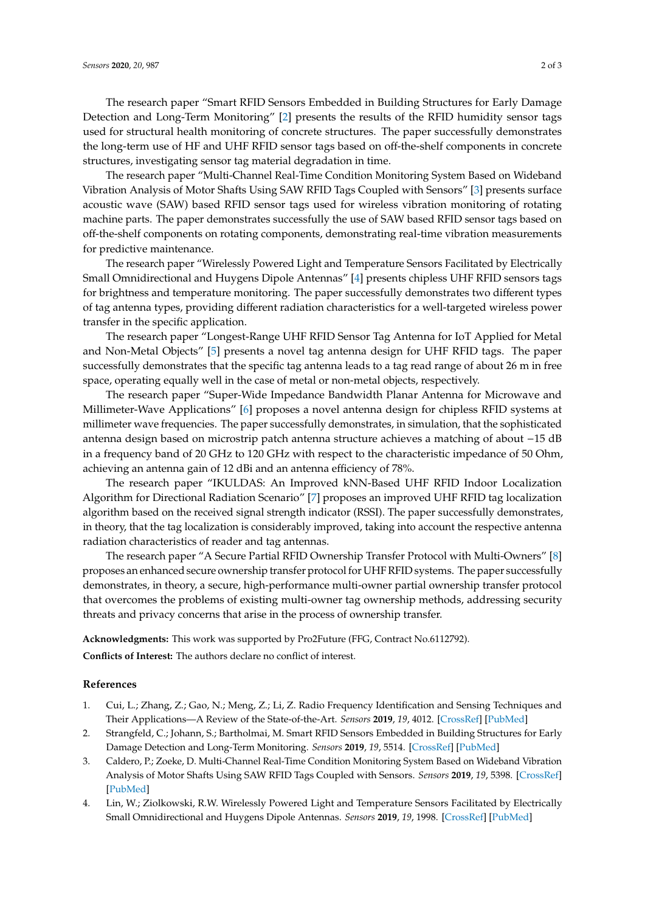The research paper "Smart RFID Sensors Embedded in Building Structures for Early Damage Detection and Long-Term Monitoring" [\[2\]](#page-1-1) presents the results of the RFID humidity sensor tags used for structural health monitoring of concrete structures. The paper successfully demonstrates the long-term use of HF and UHF RFID sensor tags based on off-the-shelf components in concrete structures, investigating sensor tag material degradation in time.

The research paper "Multi-Channel Real-Time Condition Monitoring System Based on Wideband Vibration Analysis of Motor Shafts Using SAW RFID Tags Coupled with Sensors" [\[3\]](#page-1-2) presents surface acoustic wave (SAW) based RFID sensor tags used for wireless vibration monitoring of rotating machine parts. The paper demonstrates successfully the use of SAW based RFID sensor tags based on off-the-shelf components on rotating components, demonstrating real-time vibration measurements for predictive maintenance.

The research paper "Wirelessly Powered Light and Temperature Sensors Facilitated by Electrically Small Omnidirectional and Huygens Dipole Antennas" [\[4\]](#page-1-3) presents chipless UHF RFID sensors tags for brightness and temperature monitoring. The paper successfully demonstrates two different types of tag antenna types, providing different radiation characteristics for a well-targeted wireless power transfer in the specific application.

The research paper "Longest-Range UHF RFID Sensor Tag Antenna for IoT Applied for Metal and Non-Metal Objects" [\[5\]](#page-2-0) presents a novel tag antenna design for UHF RFID tags. The paper successfully demonstrates that the specific tag antenna leads to a tag read range of about 26 m in free space, operating equally well in the case of metal or non-metal objects, respectively.

The research paper "Super-Wide Impedance Bandwidth Planar Antenna for Microwave and Millimeter-Wave Applications" [\[6\]](#page-2-1) proposes a novel antenna design for chipless RFID systems at millimeter wave frequencies. The paper successfully demonstrates, in simulation, that the sophisticated antenna design based on microstrip patch antenna structure achieves a matching of about −15 dB in a frequency band of 20 GHz to 120 GHz with respect to the characteristic impedance of 50 Ohm, achieving an antenna gain of 12 dBi and an antenna efficiency of 78%.

The research paper "IKULDAS: An Improved kNN-Based UHF RFID Indoor Localization Algorithm for Directional Radiation Scenario" [\[7\]](#page-2-2) proposes an improved UHF RFID tag localization algorithm based on the received signal strength indicator (RSSI). The paper successfully demonstrates, in theory, that the tag localization is considerably improved, taking into account the respective antenna radiation characteristics of reader and tag antennas.

The research paper "A Secure Partial RFID Ownership Transfer Protocol with Multi-Owners" [\[8\]](#page-2-3) proposes an enhanced secure ownership transfer protocol for UHF RFID systems. The paper successfully demonstrates, in theory, a secure, high-performance multi-owner partial ownership transfer protocol that overcomes the problems of existing multi-owner tag ownership methods, addressing security threats and privacy concerns that arise in the process of ownership transfer.

**Acknowledgments:** This work was supported by Pro2Future (FFG, Contract No.6112792).

**Conflicts of Interest:** The authors declare no conflict of interest.

#### **References**

- <span id="page-1-0"></span>1. Cui, L.; Zhang, Z.; Gao, N.; Meng, Z.; Li, Z. Radio Frequency Identification and Sensing Techniques and Their Applications—A Review of the State-of-the-Art. *Sensors* **2019**, *19*, 4012. [\[CrossRef\]](http://dx.doi.org/10.3390/s19184012) [\[PubMed\]](http://www.ncbi.nlm.nih.gov/pubmed/31533321)
- <span id="page-1-1"></span>2. Strangfeld, C.; Johann, S.; Bartholmai, M. Smart RFID Sensors Embedded in Building Structures for Early Damage Detection and Long-Term Monitoring. *Sensors* **2019**, *19*, 5514. [\[CrossRef\]](http://dx.doi.org/10.3390/s19245514) [\[PubMed\]](http://www.ncbi.nlm.nih.gov/pubmed/31847193)
- <span id="page-1-2"></span>3. Caldero, P.; Zoeke, D. Multi-Channel Real-Time Condition Monitoring System Based on Wideband Vibration Analysis of Motor Shafts Using SAW RFID Tags Coupled with Sensors. *Sensors* **2019**, *19*, 5398. [\[CrossRef\]](http://dx.doi.org/10.3390/s19245398) [\[PubMed\]](http://www.ncbi.nlm.nih.gov/pubmed/31817834)
- <span id="page-1-3"></span>4. Lin, W.; Ziolkowski, R.W. Wirelessly Powered Light and Temperature Sensors Facilitated by Electrically Small Omnidirectional and Huygens Dipole Antennas. *Sensors* **2019**, *19*, 1998. [\[CrossRef\]](http://dx.doi.org/10.3390/s19091998) [\[PubMed\]](http://www.ncbi.nlm.nih.gov/pubmed/31035436)